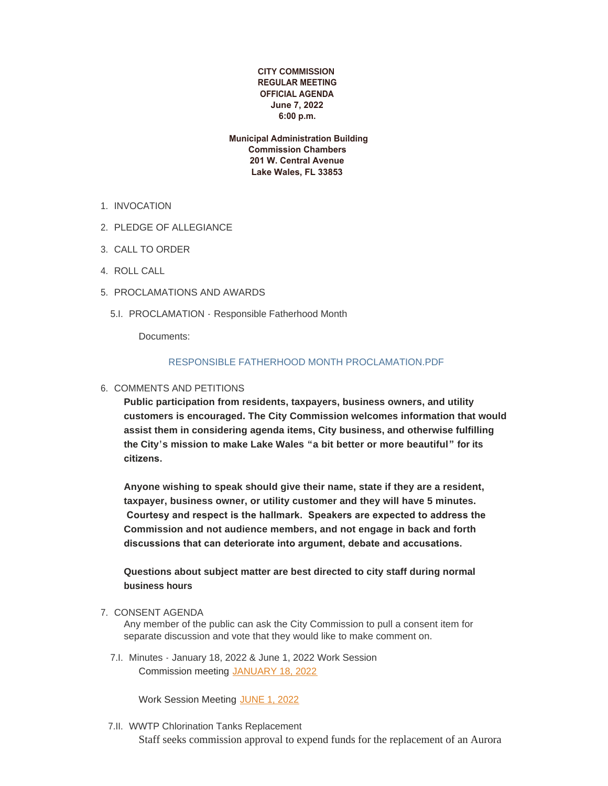### **CITY COMMISSION REGULAR MEETING OFFICIAL AGENDA June 7, 2022 6:00 p.m.**

 **Municipal Administration Building Commission Chambers 201 W. Central Avenue Lake Wales, FL 33853**

- 1. INVOCATION
- 2. PLEDGE OF ALLEGIANCE
- CALL TO ORDER 3.
- 4. ROLL CALL
- 5. PROCLAMATIONS AND AWARDS
	- 5.I. PROCLAMATION Responsible Fatherhood Month

Documents:

### [RESPONSIBLE FATHERHOOD MONTH PROCLAMATION.PDF](https://www.lakewalesfl.gov/AgendaCenter/ViewFile/Item/11252?fileID=13152)

6. COMMENTS AND PETITIONS

**Public participation from residents, taxpayers, business owners, and utility customers is encouraged. The City Commission welcomes information that would assist them in considering agenda items, City business, and otherwise fulfilling the City's mission to make Lake Wales "a bit better or more beautiful" for its citizens.** 

**Anyone wishing to speak should give their name, state if they are a resident, taxpayer, business owner, or utility customer and they will have 5 minutes. Courtesy and respect is the hallmark. Speakers are expected to address the Commission and not audience members, and not engage in back and forth discussions that can deteriorate into argument, debate and accusations.** 

**Questions about subject matter are best directed to city staff during normal business hours**

### 7. CONSENT AGENDA

Any member of the public can ask the City Commission to pull a consent item for separate discussion and vote that they would like to make comment on.

7.I. Minutes - January 18, 2022 & June 1, 2022 Work Session Commission meeting [JANUARY 18, 2022](https://www.lakewalesfl.gov/AgendaCenter/ViewFile/Minutes/_01182022-1085)

Work Session Meeting [JUNE 1, 2022](https://www.lakewalesfl.gov/AgendaCenter/ViewFile/Minutes/_06012022-1155)

7.II. WWTP Chlorination Tanks Replacement

Staff seeks commission approval to expend funds for the replacement of an Aurora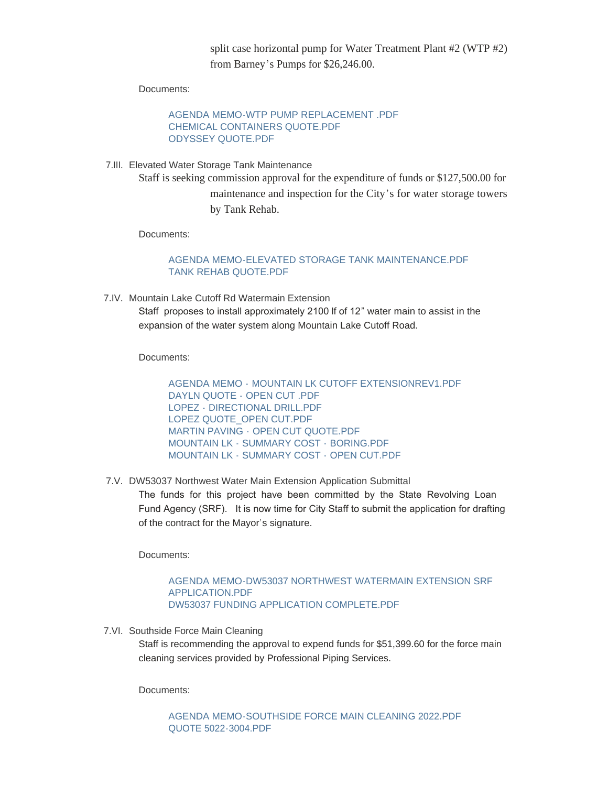split case horizontal pump for Water Treatment Plant #2 (WTP #2) from Barney's Pumps for \$26,246.00.

Documents:

[AGENDA MEMO-WTP PUMP REPLACEMENT .PDF](https://www.lakewalesfl.gov/AgendaCenter/ViewFile/Item/11208?fileID=13146) [CHEMICAL CONTAINERS QUOTE.PDF](https://www.lakewalesfl.gov/AgendaCenter/ViewFile/Item/11208?fileID=13056) [ODYSSEY QUOTE.PDF](https://www.lakewalesfl.gov/AgendaCenter/ViewFile/Item/11208?fileID=13057)

Elevated Water Storage Tank Maintenance 7.III. Staff is seeking commission approval for the expenditure of funds or \$127,500.00 for maintenance and inspection for the City's for water storage towers by Tank Rehab.

Documents:

# [AGENDA MEMO-ELEVATED STORAGE TANK MAINTENANCE.PDF](https://www.lakewalesfl.gov/AgendaCenter/ViewFile/Item/11241?fileID=13143) [TANK REHAB QUOTE.PDF](https://www.lakewalesfl.gov/AgendaCenter/ViewFile/Item/11241?fileID=13144)

7.IV. Mountain Lake Cutoff Rd Watermain Extension

Staff proposes to install approximately 2100 lf of 12" water main to assist in the expansion of the water system along Mountain Lake Cutoff Road.

Documents:

AGENDA MEMO - [MOUNTAIN LK CUTOFF EXTENSIONREV1.PDF](https://www.lakewalesfl.gov/AgendaCenter/ViewFile/Item/11231?fileID=13129) DAYLN QUOTE - [OPEN CUT .PDF](https://www.lakewalesfl.gov/AgendaCenter/ViewFile/Item/11231?fileID=13116) LOPEZ - [DIRECTIONAL DRILL.PDF](https://www.lakewalesfl.gov/AgendaCenter/ViewFile/Item/11231?fileID=13117) [LOPEZ QUOTE\\_OPEN CUT.PDF](https://www.lakewalesfl.gov/AgendaCenter/ViewFile/Item/11231?fileID=13118) MARTIN PAVING - [OPEN CUT QUOTE.PDF](https://www.lakewalesfl.gov/AgendaCenter/ViewFile/Item/11231?fileID=13119) MOUNTAIN LK - [SUMMARY COST -](https://www.lakewalesfl.gov/AgendaCenter/ViewFile/Item/11231?fileID=13120) BORING.PDF MOUNTAIN LK - [SUMMARY COST -](https://www.lakewalesfl.gov/AgendaCenter/ViewFile/Item/11231?fileID=13121) OPEN CUT.PDF

7.V. DW53037 Northwest Water Main Extension Application Submittal

The funds for this project have been committed by the State Revolving Loan Fund Agency (SRF). It is now time for City Staff to submit the application for drafting of the contract for the Mayor's signature.

Documents:

#### [AGENDA MEMO-DW53037 NORTHWEST WATERMAIN EXTENSION SRF](https://www.lakewalesfl.gov/AgendaCenter/ViewFile/Item/11203?fileID=13039)  APPLICATION.PDF [DW53037 FUNDING APPLICATION COMPLETE.PDF](https://www.lakewalesfl.gov/AgendaCenter/ViewFile/Item/11203?fileID=13040)

7.VI. Southside Force Main Cleaning

Staff is recommending the approval to expend funds for \$51,399.60 for the force main cleaning services provided by Professional Piping Services.

Documents:

[AGENDA MEMO-SOUTHSIDE FORCE MAIN CLEANING 2022.PDF](https://www.lakewalesfl.gov/AgendaCenter/ViewFile/Item/11234?fileID=13147) [QUOTE 5022-3004.PDF](https://www.lakewalesfl.gov/AgendaCenter/ViewFile/Item/11234?fileID=13127)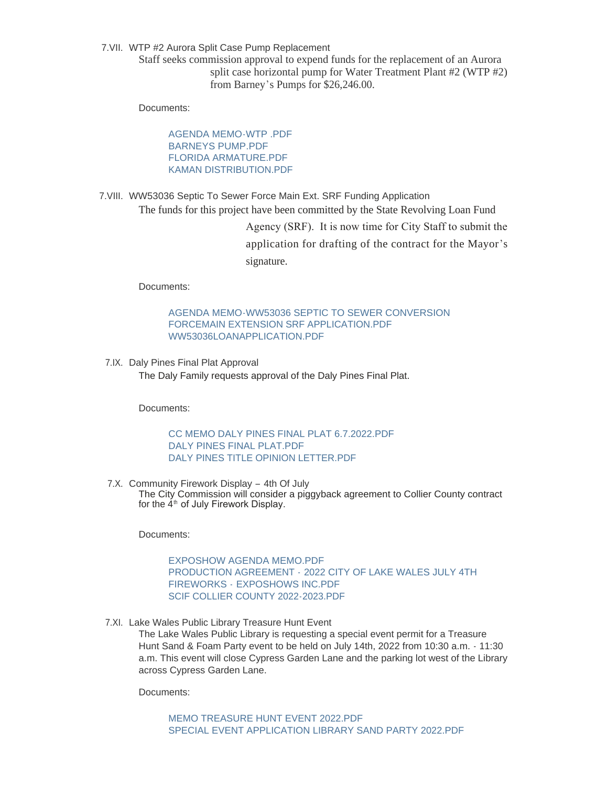7.VII. WTP #2 Aurora Split Case Pump Replacement

Staff seeks commission approval to expend funds for the replacement of an Aurora split case horizontal pump for Water Treatment Plant #2 (WTP #2) from Barney's Pumps for \$26,246.00.

Documents:

[AGENDA MEMO-WTP .PDF](https://www.lakewalesfl.gov/AgendaCenter/ViewFile/Item/11205?fileID=13045) [BARNEYS PUMP.PDF](https://www.lakewalesfl.gov/AgendaCenter/ViewFile/Item/11205?fileID=13046) [FLORIDA ARMATURE.PDF](https://www.lakewalesfl.gov/AgendaCenter/ViewFile/Item/11205?fileID=13047) [KAMAN DISTRIBUTION.PDF](https://www.lakewalesfl.gov/AgendaCenter/ViewFile/Item/11205?fileID=13048)

7.VIII. WW53036 Septic To Sewer Force Main Ext. SRF Funding Application The funds for this project have been committed by the State Revolving Loan Fund

> Agency (SRF). It is now time for City Staff to submit the application for drafting of the contract for the Mayor's signature.

Documents:

[AGENDA MEMO-WW53036 SEPTIC TO SEWER CONVERSION](https://www.lakewalesfl.gov/AgendaCenter/ViewFile/Item/11232?fileID=13122)  FORCEMAIN EXTENSION SRF APPLICATION.PDF [WW53036LOANAPPLICATION.PDF](https://www.lakewalesfl.gov/AgendaCenter/ViewFile/Item/11232?fileID=13123)

7.IX. Daly Pines Final Plat Approval The Daly Family requests approval of the Daly Pines Final Plat.

Documents:

[CC MEMO DALY PINES FINAL PLAT 6.7.2022.PDF](https://www.lakewalesfl.gov/AgendaCenter/ViewFile/Item/11209?fileID=13058) [DALY PINES FINAL PLAT.PDF](https://www.lakewalesfl.gov/AgendaCenter/ViewFile/Item/11209?fileID=13059) [DALY PINES TITLE OPINION LETTER.PDF](https://www.lakewalesfl.gov/AgendaCenter/ViewFile/Item/11209?fileID=13060)

7.X. Community Firework Display - 4th Of July The City Commission will consider a piggyback agreement to Collier County contract for the  $4^{\text{th}}$  of July Firework Display.

Documents:

[EXPOSHOW AGENDA MEMO.PDF](https://www.lakewalesfl.gov/AgendaCenter/ViewFile/Item/11228?fileID=13103) PRODUCTION AGREEMENT - [2022 CITY OF LAKE WALES JULY 4TH](https://www.lakewalesfl.gov/AgendaCenter/ViewFile/Item/11228?fileID=13104)  FIREWORKS - EXPOSHOWS INC.PDF [SCIF COLLIER COUNTY 2022-2023.PDF](https://www.lakewalesfl.gov/AgendaCenter/ViewFile/Item/11228?fileID=13105)

7.XI. Lake Wales Public Library Treasure Hunt Event

The Lake Wales Public Library is requesting a special event permit for a Treasure Hunt Sand & Foam Party event to be held on July 14th, 2022 from 10:30 a.m. - 11:30 a.m. This event will close Cypress Garden Lane and the parking lot west of the Library across Cypress Garden Lane.

Documents: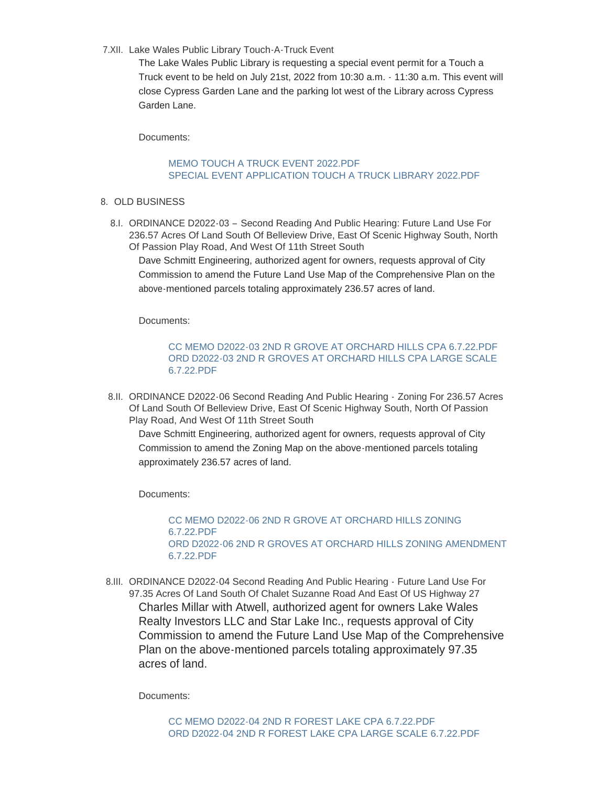7.XII. Lake Wales Public Library Touch-A-Truck Event

The Lake Wales Public Library is requesting a special event permit for a Touch a Truck event to be held on July 21st, 2022 from 10:30 a.m. - 11:30 a.m. This event will close Cypress Garden Lane and the parking lot west of the Library across Cypress Garden Lane.

Documents:

## MEMO TOUCH A TRUCK EVENT 2022 PDE [SPECIAL EVENT APPLICATION TOUCH A TRUCK LIBRARY 2022.PDF](https://www.lakewalesfl.gov/AgendaCenter/ViewFile/Item/11200?fileID=13030)

- 8. OLD BUSINESS
	- 8.I. ORDINANCE D2022-03 Second Reading And Public Hearing: Future Land Use For 236.57 Acres Of Land South Of Belleview Drive, East Of Scenic Highway South, North Of Passion Play Road, And West Of 11th Street South

Dave Schmitt Engineering, authorized agent for owners, requests approval of City Commission to amend the Future Land Use Map of the Comprehensive Plan on the above-mentioned parcels totaling approximately 236.57 acres of land.

Documents:

[CC MEMO D2022-03 2ND R GROVE AT ORCHARD HILLS CPA 6.7.22.PDF](https://www.lakewalesfl.gov/AgendaCenter/ViewFile/Item/11213?fileID=13068) [ORD D2022-03 2ND R GROVES AT ORCHARD HILLS CPA LARGE SCALE](https://www.lakewalesfl.gov/AgendaCenter/ViewFile/Item/11213?fileID=13069)  6.7.22.PDF

8.II. ORDINANCE D2022-06 Second Reading And Public Hearing - Zoning For 236.57 Acres Of Land South Of Belleview Drive, East Of Scenic Highway South, North Of Passion Play Road, And West Of 11th Street South

Dave Schmitt Engineering, authorized agent for owners, requests approval of City Commission to amend the Zoning Map on the above-mentioned parcels totaling approximately 236.57 acres of land.

Documents:

[CC MEMO D2022-06 2ND R GROVE AT ORCHARD HILLS ZONING](https://www.lakewalesfl.gov/AgendaCenter/ViewFile/Item/11215?fileID=13148)  6.7.22.PDF [ORD D2022-06 2ND R GROVES AT ORCHARD HILLS ZONING AMENDMENT](https://www.lakewalesfl.gov/AgendaCenter/ViewFile/Item/11215?fileID=13073)  6.7.22.PDF

8.III. ORDINANCE D2022-04 Second Reading And Public Hearing - Future Land Use For 97.35 Acres Of Land South Of Chalet Suzanne Road And East Of US Highway 27 Charles Millar with Atwell, authorized agent for owners Lake Wales Realty Investors LLC and Star Lake Inc., requests approval of City Commission to amend the Future Land Use Map of the Comprehensive Plan on the above-mentioned parcels totaling approximately 97.35 acres of land.

Documents: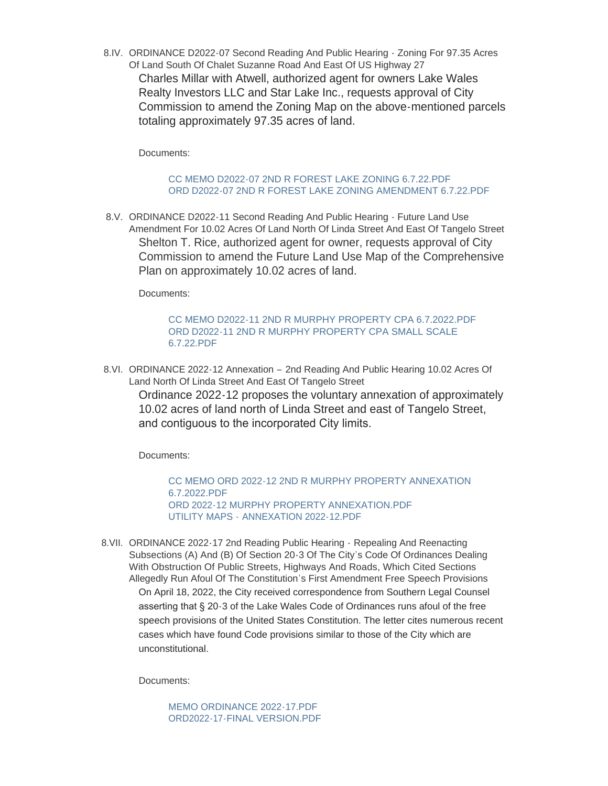8.IV. ORDINANCE D2022-07 Second Reading And Public Hearing - Zoning For 97.35 Acres Of Land South Of Chalet Suzanne Road And East Of US Highway 27

Charles Millar with Atwell, authorized agent for owners Lake Wales Realty Investors LLC and Star Lake Inc., requests approval of City Commission to amend the Zoning Map on the above-mentioned parcels totaling approximately 97.35 acres of land.

Documents:

## [CC MEMO D2022-07 2ND R FOREST LAKE ZONING 6.7.22.PDF](https://www.lakewalesfl.gov/AgendaCenter/ViewFile/Item/11217?fileID=13076) [ORD D2022-07 2ND R FOREST LAKE ZONING AMENDMENT 6.7.22.PDF](https://www.lakewalesfl.gov/AgendaCenter/ViewFile/Item/11217?fileID=13077)

8.V. ORDINANCE D2022-11 Second Reading And Public Hearing - Future Land Use Amendment For 10.02 Acres Of Land North Of Linda Street And East Of Tangelo Street Shelton T. Rice, authorized agent for owner, requests approval of City Commission to amend the Future Land Use Map of the Comprehensive Plan on approximately 10.02 acres of land.

Documents:

## [CC MEMO D2022-11 2ND R MURPHY PROPERTY CPA 6.7.2022.PDF](https://www.lakewalesfl.gov/AgendaCenter/ViewFile/Item/11223?fileID=13092) [ORD D2022-11 2ND R MURPHY PROPERTY CPA SMALL SCALE](https://www.lakewalesfl.gov/AgendaCenter/ViewFile/Item/11223?fileID=13093)  6.7.22.PDF

8.VI. ORDINANCE 2022-12 Annexation - 2nd Reading And Public Hearing 10.02 Acres Of Land North Of Linda Street And East Of Tangelo Street

Ordinance 2022-12 proposes the voluntary annexation of approximately 10.02 acres of land north of Linda Street and east of Tangelo Street, and contiguous to the incorporated City limits.

Documents:

[CC MEMO ORD 2022-12 2ND R MURPHY PROPERTY ANNEXATION](https://www.lakewalesfl.gov/AgendaCenter/ViewFile/Item/11221?fileID=13087)  6.7.2022.PDF [ORD 2022-12 MURPHY PROPERTY ANNEXATION.PDF](https://www.lakewalesfl.gov/AgendaCenter/ViewFile/Item/11221?fileID=13088) UTILITY MAPS - [ANNEXATION 2022-12.PDF](https://www.lakewalesfl.gov/AgendaCenter/ViewFile/Item/11221?fileID=13089)

8.VII. ORDINANCE 2022-17 2nd Reading Public Hearing - Repealing And Reenacting Subsections (A) And (B) Of Section 20-3 Of The City's Code Of Ordinances Dealing With Obstruction Of Public Streets, Highways And Roads, Which Cited Sections Allegedly Run Afoul Of The Constitution's First Amendment Free Speech Provisions On April 18, 2022, the City received correspondence from Southern Legal Counsel asserting that § 20-3 of the Lake Wales Code of Ordinances runs afoul of the free speech provisions of the United States Constitution. The letter cites numerous recent cases which have found Code provisions similar to those of the City which are unconstitutional.

Documents:

[MEMO ORDINANCE 2022-17.PDF](https://www.lakewalesfl.gov/AgendaCenter/ViewFile/Item/11239?fileID=13139) [ORD2022-17-FINAL VERSION.PDF](https://www.lakewalesfl.gov/AgendaCenter/ViewFile/Item/11239?fileID=13140)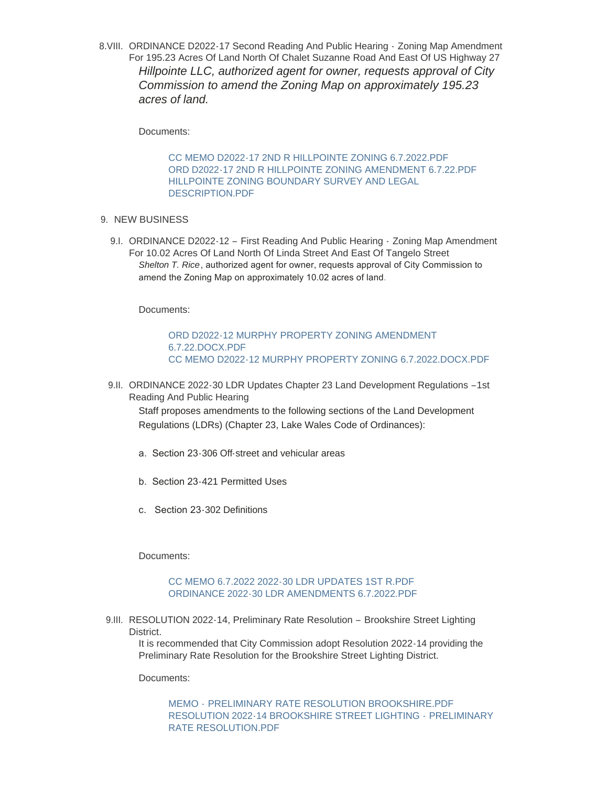8. VIII. ORDINANCE D2022-17 Second Reading And Public Hearing - Zoning Map Amendment For 195.23 Acres Of Land North Of Chalet Suzanne Road And East Of US Highway 27 *Hillpointe LLC, authorized agent for owner, requests approval of City Commission to amend the Zoning Map on approximately 195.23 acres of land.*

Documents:

[CC MEMO D2022-17 2ND R HILLPOINTE ZONING 6.7.2022.PDF](https://www.lakewalesfl.gov/AgendaCenter/ViewFile/Item/11219?fileID=13081) [ORD D2022-17 2ND R HILLPOINTE ZONING AMENDMENT 6.7.22.PDF](https://www.lakewalesfl.gov/AgendaCenter/ViewFile/Item/11219?fileID=13082) [HILLPOINTE ZONING BOUNDARY SURVEY AND LEGAL](https://www.lakewalesfl.gov/AgendaCenter/ViewFile/Item/11219?fileID=13083)  DESCRIPTION.PDF

- 9. NEW BUSINESS
	- 9.I. ORDINANCE D2022-12 First Reading And Public Hearing Zoning Map Amendment For 10.02 Acres Of Land North Of Linda Street And East Of Tangelo Street *Shelton T. Rice*, authorized agent for owner, requests approval of City Commission to amend the Zoning Map on approximately 10.02 acres of land*.*

Documents:

## [ORD D2022-12 MURPHY PROPERTY ZONING AMENDMENT](https://www.lakewalesfl.gov/AgendaCenter/ViewFile/Item/11255?fileID=13157)  6.7.22.DOCX.PDF [CC MEMO D2022-12 MURPHY PROPERTY ZONING 6.7.2022.DOCX.PDF](https://www.lakewalesfl.gov/AgendaCenter/ViewFile/Item/11255?fileID=13158)

9.II. ORDINANCE 2022-30 LDR Updates Chapter 23 Land Development Regulations -1st Reading And Public Hearing

Staff proposes amendments to the following sections of the Land Development Regulations (LDRs) (Chapter 23, Lake Wales Code of Ordinances):

- a. Section 23-306 Off-street and vehicular areas
- b. Section 23-421 Permitted Uses
- c. Section 23-302 Definitions

Documents:

#### [CC MEMO 6.7.2022 2022-30 LDR UPDATES 1ST R.PDF](https://www.lakewalesfl.gov/AgendaCenter/ViewFile/Item/11226?fileID=13155) [ORDINANCE 2022-30 LDR AMENDMENTS 6.7.2022.PDF](https://www.lakewalesfl.gov/AgendaCenter/ViewFile/Item/11226?fileID=13156)

9.III. RESOLUTION 2022-14, Preliminary Rate Resolution - Brookshire Street Lighting District.

It is recommended that City Commission adopt Resolution 2022-14 providing the Preliminary Rate Resolution for the Brookshire Street Lighting District.

Documents:

MEMO - [PRELIMINARY RATE RESOLUTION BROOKSHIRE.PDF](https://www.lakewalesfl.gov/AgendaCenter/ViewFile/Item/11190?fileID=13020) [RESOLUTION 2022-14 BROOKSHIRE STREET LIGHTING -](https://www.lakewalesfl.gov/AgendaCenter/ViewFile/Item/11190?fileID=13021) PRELIMINARY RATE RESOLUTION.PDF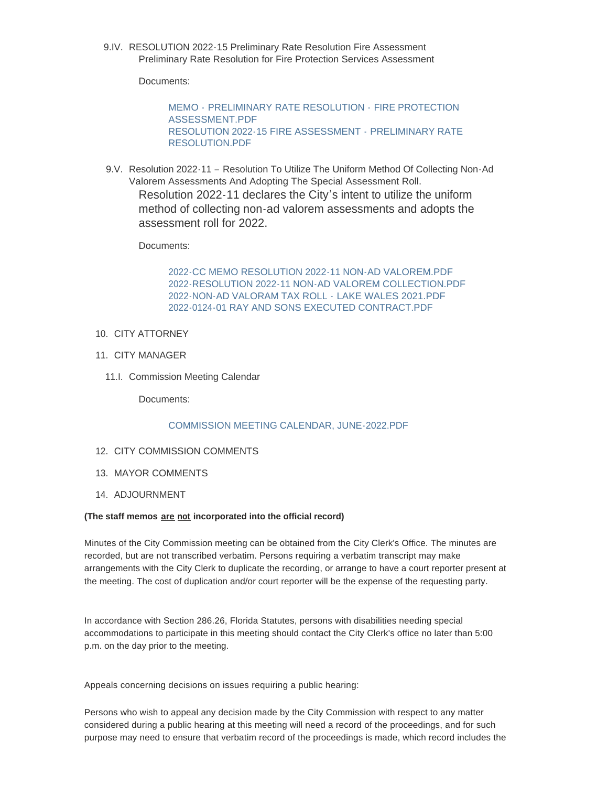9.IV. RESOLUTION 2022-15 Preliminary Rate Resolution Fire Assessment Preliminary Rate Resolution for Fire Protection Services Assessment

Documents:

MEMO - [PRELIMINARY RATE RESOLUTION -](https://www.lakewalesfl.gov/AgendaCenter/ViewFile/Item/11191?fileID=13022) FIRE PROTECTION ASSESSMENT.PDF [RESOLUTION 2022-15 FIRE ASSESSMENT -](https://www.lakewalesfl.gov/AgendaCenter/ViewFile/Item/11191?fileID=13023) PRELIMINARY RATE RESOLUTION.PDF

9.V. Resolution 2022-11 - Resolution To Utilize The Uniform Method Of Collecting Non-Ad Valorem Assessments And Adopting The Special Assessment Roll. Resolution 2022-11 declares the City's intent to utilize the uniform method of collecting non-ad valorem assessments and adopts the assessment roll for 2022.

Documents:

[2022-CC MEMO RESOLUTION 2022-11 NON-AD VALOREM.PDF](https://www.lakewalesfl.gov/AgendaCenter/ViewFile/Item/11236?fileID=13134) [2022-RESOLUTION 2022-11 NON-AD VALOREM COLLECTION.PDF](https://www.lakewalesfl.gov/AgendaCenter/ViewFile/Item/11236?fileID=13162) [2022-NON-AD VALORAM TAX ROLL -](https://www.lakewalesfl.gov/AgendaCenter/ViewFile/Item/11236?fileID=13135) LAKE WALES 2021.PDF [2022-0124-01 RAY AND SONS EXECUTED CONTRACT.PDF](https://www.lakewalesfl.gov/AgendaCenter/ViewFile/Item/11236?fileID=13136)

- 10. CITY ATTORNEY
- 11. CITY MANAGER
	- 11.I. Commission Meeting Calendar

Documents:

#### [COMMISSION MEETING CALENDAR, JUNE-2022.PDF](https://www.lakewalesfl.gov/AgendaCenter/ViewFile/Item/11240?fileID=13141)

- 12. CITY COMMISSION COMMENTS
- 13. MAYOR COMMENTS
- 14. ADJOURNMENT

#### **(The staff memos are not incorporated into the official record)**

Minutes of the City Commission meeting can be obtained from the City Clerk's Office. The minutes are recorded, but are not transcribed verbatim. Persons requiring a verbatim transcript may make arrangements with the City Clerk to duplicate the recording, or arrange to have a court reporter present at the meeting. The cost of duplication and/or court reporter will be the expense of the requesting party.

In accordance with Section 286.26, Florida Statutes, persons with disabilities needing special accommodations to participate in this meeting should contact the City Clerk's office no later than 5:00 p.m. on the day prior to the meeting.

Appeals concerning decisions on issues requiring a public hearing:

Persons who wish to appeal any decision made by the City Commission with respect to any matter considered during a public hearing at this meeting will need a record of the proceedings, and for such purpose may need to ensure that verbatim record of the proceedings is made, which record includes the